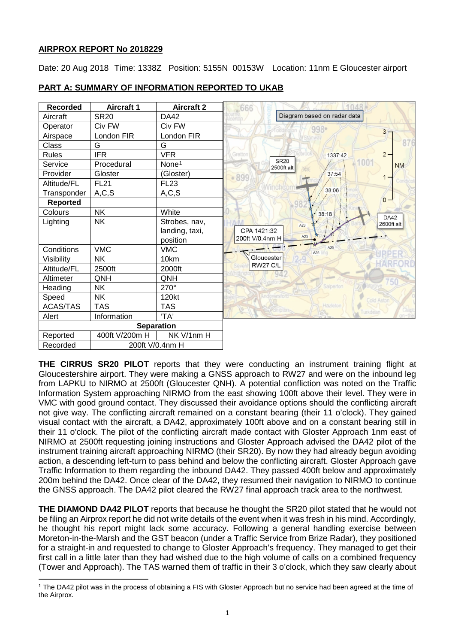## **AIRPROX REPORT No 2018229**

l

Date: 20 Aug 2018 Time: 1338Z Position: 5155N 00153W Location: 11nm E Gloucester airport



# **PART A: SUMMARY OF INFORMATION REPORTED TO UKAB**

**THE CIRRUS SR20 PILOT** reports that they were conducting an instrument training flight at Gloucestershire airport. They were making a GNSS approach to RW27 and were on the inbound leg from LAPKU to NIRMO at 2500ft (Gloucester QNH). A potential confliction was noted on the Traffic Information System approaching NIRMO from the east showing 100ft above their level. They were in VMC with good ground contact. They discussed their avoidance options should the conflicting aircraft not give way. The conflicting aircraft remained on a constant bearing (their 11 o'clock). They gained visual contact with the aircraft, a DA42, approximately 100ft above and on a constant bearing still in their 11 o'clock. The pilot of the conflicting aircraft made contact with Gloster Approach 1nm east of NIRMO at 2500ft requesting joining instructions and Gloster Approach advised the DA42 pilot of the instrument training aircraft approaching NIRMO (their SR20). By now they had already begun avoiding action, a descending left-turn to pass behind and below the conflicting aircraft. Gloster Approach gave Traffic Information to them regarding the inbound DA42. They passed 400ft below and approximately 200m behind the DA42. Once clear of the DA42, they resumed their navigation to NIRMO to continue the GNSS approach. The DA42 pilot cleared the RW27 final approach track area to the northwest.

**THE DIAMOND DA42 PILOT** reports that because he thought the SR20 pilot stated that he would not be filing an Airprox report he did not write details of the event when it was fresh in his mind. Accordingly, he thought his report might lack some accuracy. Following a general handling exercise between Moreton-in-the-Marsh and the GST beacon (under a Traffic Service from Brize Radar), they positioned for a straight-in and requested to change to Gloster Approach's frequency. They managed to get their first call in a little later than they had wished due to the high volume of calls on a combined frequency (Tower and Approach). The TAS warned them of traffic in their 3 o'clock, which they saw clearly about

<span id="page-0-0"></span><sup>1</sup> The DA42 pilot was in the process of obtaining a FIS with Gloster Approach but no service had been agreed at the time of the Airprox.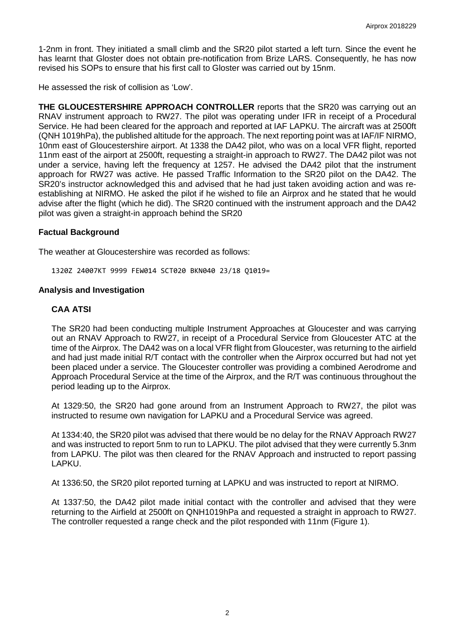1-2nm in front. They initiated a small climb and the SR20 pilot started a left turn. Since the event he has learnt that Gloster does not obtain pre-notification from Brize LARS. Consequently, he has now revised his SOPs to ensure that his first call to Gloster was carried out by 15nm.

He assessed the risk of collision as 'Low'.

**THE GLOUCESTERSHIRE APPROACH CONTROLLER** reports that the SR20 was carrying out an RNAV instrument approach to RW27. The pilot was operating under IFR in receipt of a Procedural Service. He had been cleared for the approach and reported at IAF LAPKU. The aircraft was at 2500ft (QNH 1019hPa), the published altitude for the approach. The next reporting point was at IAF/IF NIRMO, 10nm east of Gloucestershire airport. At 1338 the DA42 pilot, who was on a local VFR flight, reported 11nm east of the airport at 2500ft, requesting a straight-in approach to RW27. The DA42 pilot was not under a service, having left the frequency at 1257. He advised the DA42 pilot that the instrument approach for RW27 was active. He passed Traffic Information to the SR20 pilot on the DA42. The SR20's instructor acknowledged this and advised that he had just taken avoiding action and was reestablishing at NIRMO. He asked the pilot if he wished to file an Airprox and he stated that he would advise after the flight (which he did). The SR20 continued with the instrument approach and the DA42 pilot was given a straight-in approach behind the SR20

### **Factual Background**

The weather at Gloucestershire was recorded as follows:

1320Z 24007KT 9999 FEW014 SCT020 BKN040 23/18 Q1019=

#### **Analysis and Investigation**

### **CAA ATSI**

The SR20 had been conducting multiple Instrument Approaches at Gloucester and was carrying out an RNAV Approach to RW27, in receipt of a Procedural Service from Gloucester ATC at the time of the Airprox. The DA42 was on a local VFR flight from Gloucester, was returning to the airfield and had just made initial R/T contact with the controller when the Airprox occurred but had not yet been placed under a service. The Gloucester controller was providing a combined Aerodrome and Approach Procedural Service at the time of the Airprox, and the R/T was continuous throughout the period leading up to the Airprox.

At 1329:50, the SR20 had gone around from an Instrument Approach to RW27, the pilot was instructed to resume own navigation for LAPKU and a Procedural Service was agreed.

At 1334:40, the SR20 pilot was advised that there would be no delay for the RNAV Approach RW27 and was instructed to report 5nm to run to LAPKU. The pilot advised that they were currently 5.3nm from LAPKU. The pilot was then cleared for the RNAV Approach and instructed to report passing LAPKU.

At 1336:50, the SR20 pilot reported turning at LAPKU and was instructed to report at NIRMO.

At 1337:50, the DA42 pilot made initial contact with the controller and advised that they were returning to the Airfield at 2500ft on QNH1019hPa and requested a straight in approach to RW27. The controller requested a range check and the pilot responded with 11nm (Figure 1).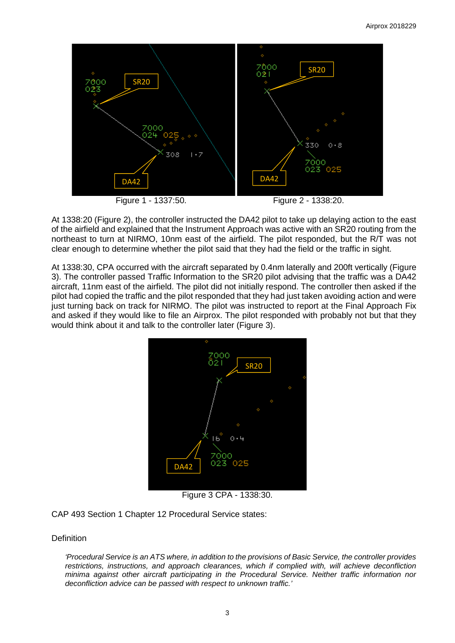

At 1338:20 (Figure 2), the controller instructed the DA42 pilot to take up delaying action to the east of the airfield and explained that the Instrument Approach was active with an SR20 routing from the northeast to turn at NIRMO, 10nm east of the airfield. The pilot responded, but the R/T was not clear enough to determine whether the pilot said that they had the field or the traffic in sight.

At 1338:30, CPA occurred with the aircraft separated by 0.4nm laterally and 200ft vertically (Figure 3). The controller passed Traffic Information to the SR20 pilot advising that the traffic was a DA42 aircraft, 11nm east of the airfield. The pilot did not initially respond. The controller then asked if the pilot had copied the traffic and the pilot responded that they had just taken avoiding action and were just turning back on track for NIRMO. The pilot was instructed to report at the Final Approach Fix and asked if they would like to file an Airprox. The pilot responded with probably not but that they would think about it and talk to the controller later (Figure 3).



Figure 3 CPA - 1338:30.

CAP 493 Section 1 Chapter 12 Procedural Service states:

## **Definition**

*'Procedural Service is an ATS where, in addition to the provisions of Basic Service, the controller provides restrictions, instructions, and approach clearances, which if complied with, will achieve deconfliction minima against other aircraft participating in the Procedural Service. Neither traffic information nor deconfliction advice can be passed with respect to unknown traffic.'*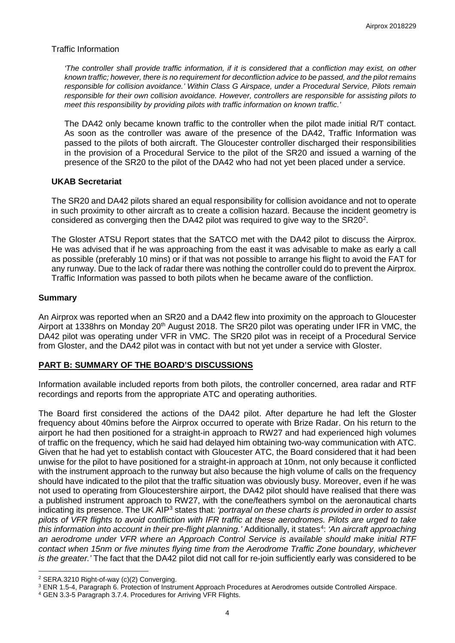### Traffic Information

*'The controller shall provide traffic information, if it is considered that a confliction may exist, on other known traffic; however, there is no requirement for deconfliction advice to be passed, and the pilot remains responsible for collision avoidance.' Within Class G Airspace, under a Procedural Service, Pilots remain responsible for their own collision avoidance. However, controllers are responsible for assisting pilots to meet this responsibility by providing pilots with traffic information on known traffic.'*

The DA42 only became known traffic to the controller when the pilot made initial R/T contact. As soon as the controller was aware of the presence of the DA42, Traffic Information was passed to the pilots of both aircraft. The Gloucester controller discharged their responsibilities in the provision of a Procedural Service to the pilot of the SR20 and issued a warning of the presence of the SR20 to the pilot of the DA42 who had not yet been placed under a service.

### **UKAB Secretariat**

The SR20 and DA42 pilots shared an equal responsibility for collision avoidance and not to operate in such proximity to other aircraft as to create a collision hazard. Because the incident geometry is considered as converging then the DA4[2](#page-3-0) pilot was required to give way to the SR20<sup>2</sup>.

The Gloster ATSU Report states that the SATCO met with the DA42 pilot to discuss the Airprox. He was advised that if he was approaching from the east it was advisable to make as early a call as possible (preferably 10 mins) or if that was not possible to arrange his flight to avoid the FAT for any runway. Due to the lack of radar there was nothing the controller could do to prevent the Airprox. Traffic Information was passed to both pilots when he became aware of the confliction.

### **Summary**

An Airprox was reported when an SR20 and a DA42 flew into proximity on the approach to Gloucester Airport at 1338hrs on Monday 20<sup>th</sup> August 2018. The SR20 pilot was operating under IFR in VMC, the DA42 pilot was operating under VFR in VMC. The SR20 pilot was in receipt of a Procedural Service from Gloster, and the DA42 pilot was in contact with but not yet under a service with Gloster.

## **PART B: SUMMARY OF THE BOARD'S DISCUSSIONS**

Information available included reports from both pilots, the controller concerned, area radar and RTF recordings and reports from the appropriate ATC and operating authorities.

The Board first considered the actions of the DA42 pilot. After departure he had left the Gloster frequency about 40mins before the Airprox occurred to operate with Brize Radar. On his return to the airport he had then positioned for a straight-in approach to RW27 and had experienced high volumes of traffic on the frequency, which he said had delayed him obtaining two-way communication with ATC. Given that he had yet to establish contact with Gloucester ATC, the Board considered that it had been unwise for the pilot to have positioned for a straight-in approach at 10nm, not only because it conflicted with the instrument approach to the runway but also because the high volume of calls on the frequency should have indicated to the pilot that the traffic situation was obviously busy. Moreover, even if he was not used to operating from Gloucestershire airport, the DA42 pilot should have realised that there was a published instrument approach to RW27, with the cone/feathers symbol on the aeronautical charts indicating its presence. The UK AIP[3](#page-3-1) states that: *'portrayal on these charts is provided in order to assist pilots of VFR flights to avoid confliction with IFR traffic at these aerodromes. Pilots are urged to take*  this information into account in their pre-flight planning.' Additionally, it states<sup>[4](#page-3-2)</sup>: 'An aircraft approaching *an aerodrome under VFR where an Approach Control Service is available should make initial RTF contact when 15nm or five minutes flying time from the Aerodrome Traffic Zone boundary, whichever is the greater.'* The fact that the DA42 pilot did not call for re-join sufficiently early was considered to be

 $\overline{\phantom{a}}$ 

<span id="page-3-0"></span><sup>2</sup> SERA.3210 Right-of-way (c)(2) Converging.

<span id="page-3-1"></span><sup>3</sup> ENR 1.5-4, Paragraph 6. Protection of Instrument Approach Procedures at Aerodromes outside Controlled Airspace.

<span id="page-3-2"></span><sup>4</sup> GEN 3.3-5 Paragraph 3.7.4. Procedures for Arriving VFR Flights.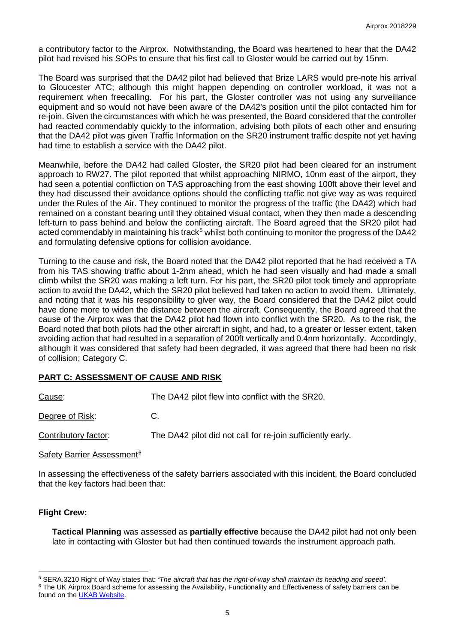a contributory factor to the Airprox. Notwithstanding, the Board was heartened to hear that the DA42 pilot had revised his SOPs to ensure that his first call to Gloster would be carried out by 15nm.

The Board was surprised that the DA42 pilot had believed that Brize LARS would pre-note his arrival to Gloucester ATC; although this might happen depending on controller workload, it was not a requirement when freecalling. For his part, the Gloster controller was not using any surveillance equipment and so would not have been aware of the DA42's position until the pilot contacted him for re-join. Given the circumstances with which he was presented, the Board considered that the controller had reacted commendably quickly to the information, advising both pilots of each other and ensuring that the DA42 pilot was given Traffic Information on the SR20 instrument traffic despite not yet having had time to establish a service with the DA42 pilot.

Meanwhile, before the DA42 had called Gloster, the SR20 pilot had been cleared for an instrument approach to RW27. The pilot reported that whilst approaching NIRMO, 10nm east of the airport, they had seen a potential confliction on TAS approaching from the east showing 100ft above their level and they had discussed their avoidance options should the conflicting traffic not give way as was required under the Rules of the Air. They continued to monitor the progress of the traffic (the DA42) which had remained on a constant bearing until they obtained visual contact, when they then made a descending left-turn to pass behind and below the conflicting aircraft. The Board agreed that the SR20 pilot had acted commendably in maintaining his track<sup>[5](#page-4-0)</sup> whilst both continuing to monitor the progress of the DA42 and formulating defensive options for collision avoidance.

Turning to the cause and risk, the Board noted that the DA42 pilot reported that he had received a TA from his TAS showing traffic about 1-2nm ahead, which he had seen visually and had made a small climb whilst the SR20 was making a left turn. For his part, the SR20 pilot took timely and appropriate action to avoid the DA42, which the SR20 pilot believed had taken no action to avoid them. Ultimately, and noting that it was his responsibility to giver way, the Board considered that the DA42 pilot could have done more to widen the distance between the aircraft. Consequently, the Board agreed that the cause of the Airprox was that the DA42 pilot had flown into conflict with the SR20. As to the risk, the Board noted that both pilots had the other aircraft in sight, and had, to a greater or lesser extent, taken avoiding action that had resulted in a separation of 200ft vertically and 0.4nm horizontally. Accordingly, although it was considered that safety had been degraded, it was agreed that there had been no risk of collision; Category C.

## **PART C: ASSESSMENT OF CAUSE AND RISK**

| Cause:               | The DA42 pilot flew into conflict with the SR20.            |
|----------------------|-------------------------------------------------------------|
| Degree of Risk:      | C.                                                          |
| Contributory factor: | The DA42 pilot did not call for re-join sufficiently early. |

Safety Barrier Assessment<sup>[6](#page-4-1)</sup>

In assessing the effectiveness of the safety barriers associated with this incident, the Board concluded that the key factors had been that:

## **Flight Crew:**

 $\overline{\phantom{a}}$ 

**Tactical Planning** was assessed as **partially effective** because the DA42 pilot had not only been late in contacting with Gloster but had then continued towards the instrument approach path.

<span id="page-4-1"></span><span id="page-4-0"></span><sup>5</sup> SERA.3210 Right of Way states that: *'The aircraft that has the right-of-way shall maintain its heading and speed'.* <sup>6</sup> The UK Airprox Board scheme for assessing the Availability, Functionality and Effectiveness of safety barriers can be found on the **UKAB Website**.